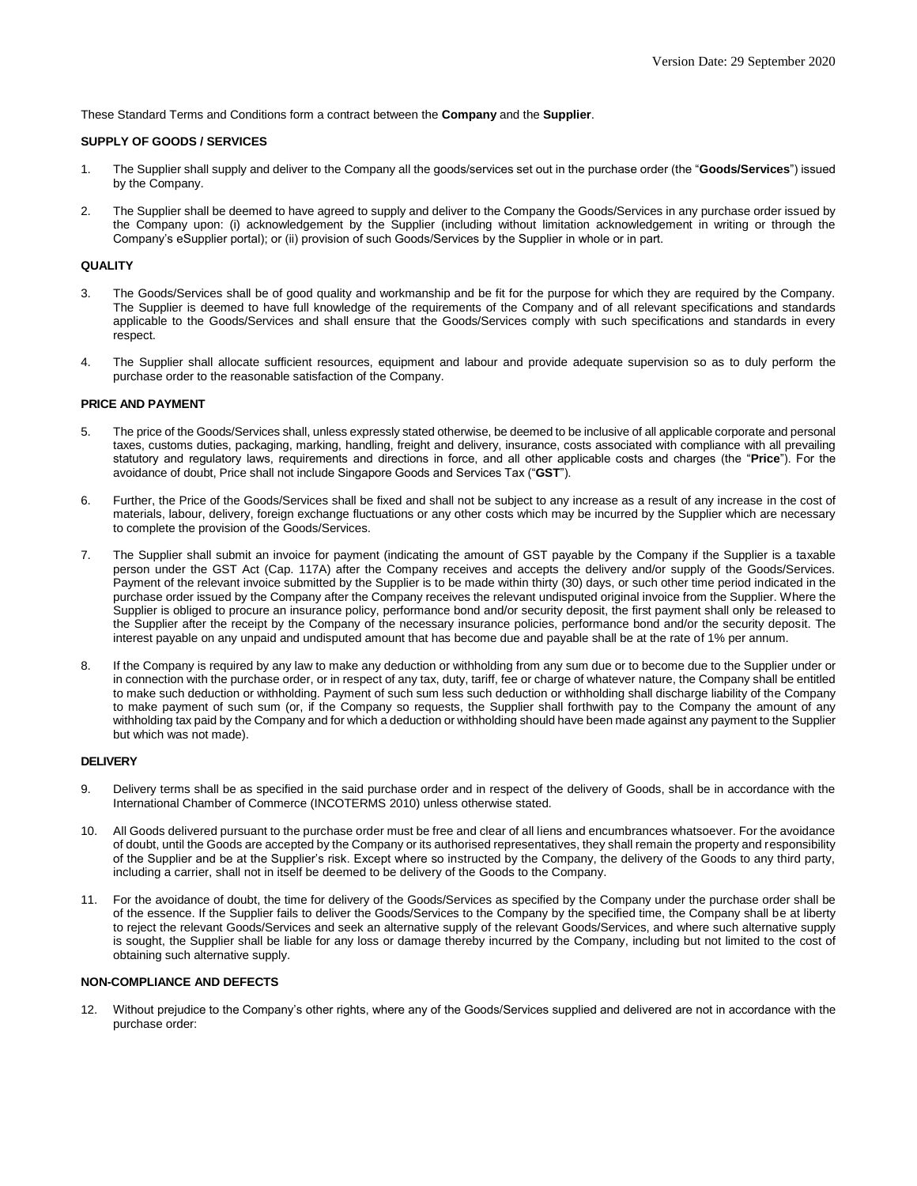These Standard Terms and Conditions form a contract between the **Company** and the **Supplier**.

### **SUPPLY OF GOODS / SERVICES**

- 1. The Supplier shall supply and deliver to the Company all the goods/services set out in the purchase order (the "**Goods/Services**") issued by the Company.
- 2. The Supplier shall be deemed to have agreed to supply and deliver to the Company the Goods/Services in any purchase order issued by the Company upon: (i) acknowledgement by the Supplier (including without limitation acknowledgement in writing or through the Company's eSupplier portal); or (ii) provision of such Goods/Services by the Supplier in whole or in part.

### **QUALITY**

- 3. The Goods/Services shall be of good quality and workmanship and be fit for the purpose for which they are required by the Company. The Supplier is deemed to have full knowledge of the requirements of the Company and of all relevant specifications and standards applicable to the Goods/Services and shall ensure that the Goods/Services comply with such specifications and standards in every respect.
- 4. The Supplier shall allocate sufficient resources, equipment and labour and provide adequate supervision so as to duly perform the purchase order to the reasonable satisfaction of the Company.

### **PRICE AND PAYMENT**

- 5. The price of the Goods/Services shall, unless expressly stated otherwise, be deemed to be inclusive of all applicable corporate and personal taxes, customs duties, packaging, marking, handling, freight and delivery, insurance, costs associated with compliance with all prevailing statutory and regulatory laws, requirements and directions in force, and all other applicable costs and charges (the "**Price**"). For the avoidance of doubt, Price shall not include Singapore Goods and Services Tax ("**GST**").
- 6. Further, the Price of the Goods/Services shall be fixed and shall not be subject to any increase as a result of any increase in the cost of materials, labour, delivery, foreign exchange fluctuations or any other costs which may be incurred by the Supplier which are necessary to complete the provision of the Goods/Services.
- 7. The Supplier shall submit an invoice for payment (indicating the amount of GST payable by the Company if the Supplier is a taxable person under the GST Act (Cap. 117A) after the Company receives and accepts the delivery and/or supply of the Goods/Services. Payment of the relevant invoice submitted by the Supplier is to be made within thirty (30) days, or such other time period indicated in the purchase order issued by the Company after the Company receives the relevant undisputed original invoice from the Supplier. Where the Supplier is obliged to procure an insurance policy, performance bond and/or security deposit, the first payment shall only be released to the Supplier after the receipt by the Company of the necessary insurance policies, performance bond and/or the security deposit. The interest payable on any unpaid and undisputed amount that has become due and payable shall be at the rate of 1% per annum.
- 8. If the Company is required by any law to make any deduction or withholding from any sum due or to become due to the Supplier under or in connection with the purchase order, or in respect of any tax, duty, tariff, fee or charge of whatever nature, the Company shall be entitled to make such deduction or withholding. Payment of such sum less such deduction or withholding shall discharge liability of the Company to make payment of such sum (or, if the Company so requests, the Supplier shall forthwith pay to the Company the amount of any withholding tax paid by the Company and for which a deduction or withholding should have been made against any payment to the Supplier but which was not made).

#### **DELIVERY**

- 9. Delivery terms shall be as specified in the said purchase order and in respect of the delivery of Goods, shall be in accordance with the International Chamber of Commerce (INCOTERMS 2010) unless otherwise stated.
- 10. All Goods delivered pursuant to the purchase order must be free and clear of all liens and encumbrances whatsoever. For the avoidance of doubt, until the Goods are accepted by the Company or its authorised representatives, they shall remain the property and responsibility of the Supplier and be at the Supplier's risk. Except where so instructed by the Company, the delivery of the Goods to any third party, including a carrier, shall not in itself be deemed to be delivery of the Goods to the Company.
- 11. For the avoidance of doubt, the time for delivery of the Goods/Services as specified by the Company under the purchase order shall be of the essence. If the Supplier fails to deliver the Goods/Services to the Company by the specified time, the Company shall be at liberty to reject the relevant Goods/Services and seek an alternative supply of the relevant Goods/Services, and where such alternative supply is sought, the Supplier shall be liable for any loss or damage thereby incurred by the Company, including but not limited to the cost of obtaining such alternative supply.

# **NON-COMPLIANCE AND DEFECTS**

12. Without prejudice to the Company's other rights, where any of the Goods/Services supplied and delivered are not in accordance with the purchase order: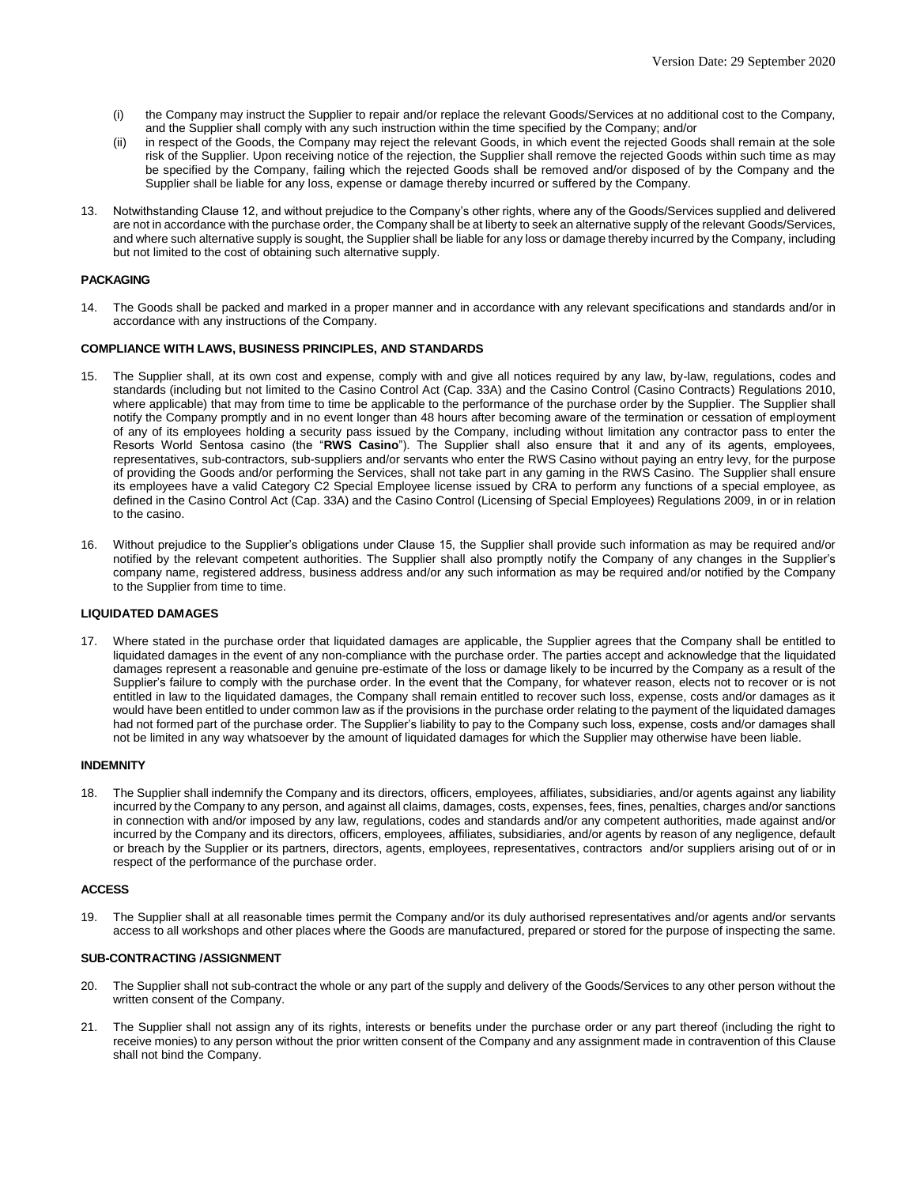- (i) the Company may instruct the Supplier to repair and/or replace the relevant Goods/Services at no additional cost to the Company, and the Supplier shall comply with any such instruction within the time specified by the Company; and/or
- (ii) in respect of the Goods, the Company may reject the relevant Goods, in which event the rejected Goods shall remain at the sole risk of the Supplier. Upon receiving notice of the rejection, the Supplier shall remove the rejected Goods within such time as may be specified by the Company, failing which the rejected Goods shall be removed and/or disposed of by the Company and the Supplier shall be liable for any loss, expense or damage thereby incurred or suffered by the Company.
- 13. Notwithstanding Clause 12, and without prejudice to the Company's other rights, where any of the Goods/Services supplied and delivered are not in accordance with the purchase order, the Company shall be at liberty to seek an alternative supply of the relevant Goods/Services, and where such alternative supply is sought, the Supplier shall be liable for any loss or damage thereby incurred by the Company, including but not limited to the cost of obtaining such alternative supply.

### **PACKAGING**

14. The Goods shall be packed and marked in a proper manner and in accordance with any relevant specifications and standards and/or in accordance with any instructions of the Company.

### **COMPLIANCE WITH LAWS, BUSINESS PRINCIPLES, AND STANDARDS**

- 15. The Supplier shall, at its own cost and expense, comply with and give all notices required by any law, by-law, regulations, codes and standards (including but not limited to the Casino Control Act (Cap. 33A) and the Casino Control (Casino Contracts) Regulations 2010, where applicable) that may from time to time be applicable to the performance of the purchase order by the Supplier. The Supplier shall notify the Company promptly and in no event longer than 48 hours after becoming aware of the termination or cessation of employment of any of its employees holding a security pass issued by the Company, including without limitation any contractor pass to enter the Resorts World Sentosa casino (the "**RWS Casino**"). The Supplier shall also ensure that it and any of its agents, employees, representatives, sub-contractors, sub-suppliers and/or servants who enter the RWS Casino without paying an entry levy, for the purpose of providing the Goods and/or performing the Services, shall not take part in any gaming in the RWS Casino. The Supplier shall ensure its employees have a valid Category C2 Special Employee license issued by CRA to perform any functions of a special employee, as defined in the Casino Control Act (Cap. 33A) and the Casino Control (Licensing of Special Employees) Regulations 2009, in or in relation to the casino.
- 16. Without prejudice to the Supplier's obligations under Clause 15, the Supplier shall provide such information as may be required and/or notified by the relevant competent authorities. The Supplier shall also promptly notify the Company of any changes in the Supplier's company name, registered address, business address and/or any such information as may be required and/or notified by the Company to the Supplier from time to time.

#### **LIQUIDATED DAMAGES**

17. Where stated in the purchase order that liquidated damages are applicable, the Supplier agrees that the Company shall be entitled to liquidated damages in the event of any non-compliance with the purchase order. The parties accept and acknowledge that the liquidated damages represent a reasonable and genuine pre-estimate of the loss or damage likely to be incurred by the Company as a result of the Supplier's failure to comply with the purchase order. In the event that the Company, for whatever reason, elects not to recover or is not entitled in law to the liquidated damages, the Company shall remain entitled to recover such loss, expense, costs and/or damages as it would have been entitled to under common law as if the provisions in the purchase order relating to the payment of the liquidated damages had not formed part of the purchase order. The Supplier's liability to pay to the Company such loss, expense, costs and/or damages shall not be limited in any way whatsoever by the amount of liquidated damages for which the Supplier may otherwise have been liable.

#### **INDEMNITY**

18. The Supplier shall indemnify the Company and its directors, officers, employees, affiliates, subsidiaries, and/or agents against any liability incurred by the Company to any person, and against all claims, damages, costs, expenses, fees, fines, penalties, charges and/or sanctions in connection with and/or imposed by any law, regulations, codes and standards and/or any competent authorities, made against and/or incurred by the Company and its directors, officers, employees, affiliates, subsidiaries, and/or agents by reason of any negligence, default or breach by the Supplier or its partners, directors, agents, employees, representatives, contractors and/or suppliers arising out of or in respect of the performance of the purchase order.

#### **ACCESS**

19. The Supplier shall at all reasonable times permit the Company and/or its duly authorised representatives and/or agents and/or servants access to all workshops and other places where the Goods are manufactured, prepared or stored for the purpose of inspecting the same.

# **SUB-CONTRACTING /ASSIGNMENT**

- 20. The Supplier shall not sub-contract the whole or any part of the supply and delivery of the Goods/Services to any other person without the written consent of the Company.
- 21. The Supplier shall not assign any of its rights, interests or benefits under the purchase order or any part thereof (including the right to receive monies) to any person without the prior written consent of the Company and any assignment made in contravention of this Clause shall not bind the Company.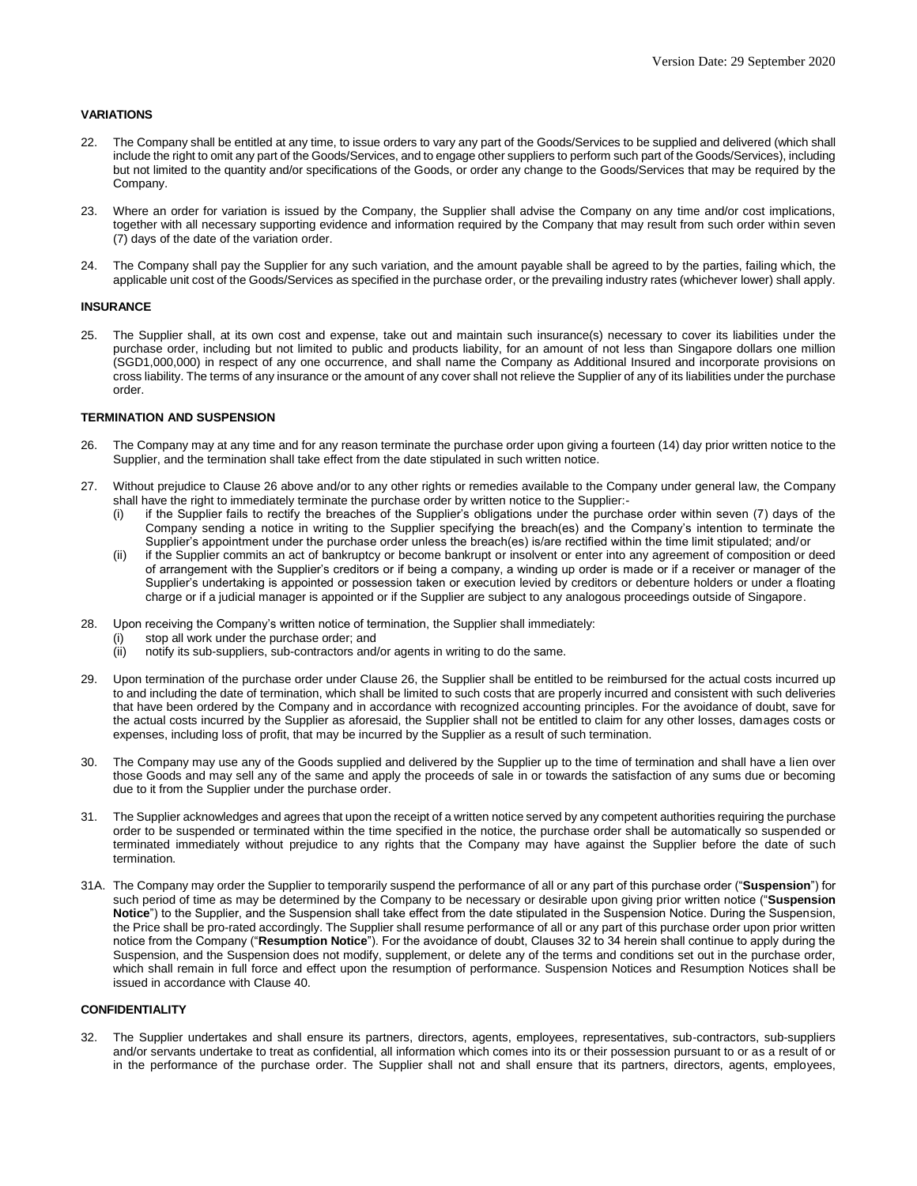# **VARIATIONS**

- 22. The Company shall be entitled at any time, to issue orders to vary any part of the Goods/Services to be supplied and delivered (which shall include the right to omit any part of the Goods/Services, and to engage other suppliers to perform such part of the Goods/Services), including but not limited to the quantity and/or specifications of the Goods, or order any change to the Goods/Services that may be required by the Company.
- 23. Where an order for variation is issued by the Company, the Supplier shall advise the Company on any time and/or cost implications, together with all necessary supporting evidence and information required by the Company that may result from such order within seven (7) days of the date of the variation order.
- 24. The Company shall pay the Supplier for any such variation, and the amount payable shall be agreed to by the parties, failing which, the applicable unit cost of the Goods/Services as specified in the purchase order, or the prevailing industry rates (whichever lower) shall apply.

# **INSURANCE**

25. The Supplier shall, at its own cost and expense, take out and maintain such insurance(s) necessary to cover its liabilities under the purchase order, including but not limited to public and products liability, for an amount of not less than Singapore dollars one million (SGD1,000,000) in respect of any one occurrence, and shall name the Company as Additional Insured and incorporate provisions on cross liability. The terms of any insurance or the amount of any cover shall not relieve the Supplier of any of its liabilities under the purchase order.

## **TERMINATION AND SUSPENSION**

- 26. The Company may at any time and for any reason terminate the purchase order upon giving a fourteen (14) day prior written notice to the Supplier, and the termination shall take effect from the date stipulated in such written notice.
- 27. Without prejudice to Clause 26 above and/or to any other rights or remedies available to the Company under general law, the Company shall have the right to immediately terminate the purchase order by written notice to the Supplier:-
	- (i) if the Supplier fails to rectify the breaches of the Supplier's obligations under the purchase order within seven (7) days of the Company sending a notice in writing to the Supplier specifying the breach(es) and the Company's intention to terminate the Supplier's appointment under the purchase order unless the breach(es) is/are rectified within the time limit stipulated; and/or
	- (ii) if the Supplier commits an act of bankruptcy or become bankrupt or insolvent or enter into any agreement of composition or deed of arrangement with the Supplier's creditors or if being a company, a winding up order is made or if a receiver or manager of the Supplier's undertaking is appointed or possession taken or execution levied by creditors or debenture holders or under a floating charge or if a judicial manager is appointed or if the Supplier are subject to any analogous proceedings outside of Singapore.
- 28. Upon receiving the Company's written notice of termination, the Supplier shall immediately:
	- (i) stop all work under the purchase order; and
	- (ii) notify its sub-suppliers, sub-contractors and/or agents in writing to do the same.
- 29. Upon termination of the purchase order under Clause 26, the Supplier shall be entitled to be reimbursed for the actual costs incurred up to and including the date of termination, which shall be limited to such costs that are properly incurred and consistent with such deliveries that have been ordered by the Company and in accordance with recognized accounting principles. For the avoidance of doubt, save for the actual costs incurred by the Supplier as aforesaid, the Supplier shall not be entitled to claim for any other losses, damages costs or expenses, including loss of profit, that may be incurred by the Supplier as a result of such termination.
- 30. The Company may use any of the Goods supplied and delivered by the Supplier up to the time of termination and shall have a lien over those Goods and may sell any of the same and apply the proceeds of sale in or towards the satisfaction of any sums due or becoming due to it from the Supplier under the purchase order.
- 31. The Supplier acknowledges and agrees that upon the receipt of a written notice served by any competent authorities requiring the purchase order to be suspended or terminated within the time specified in the notice, the purchase order shall be automatically so suspended or terminated immediately without prejudice to any rights that the Company may have against the Supplier before the date of such termination.
- 31A. The Company may order the Supplier to temporarily suspend the performance of all or any part of this purchase order ("**Suspension**") for such period of time as may be determined by the Company to be necessary or desirable upon giving prior written notice ("**Suspension Notice**") to the Supplier, and the Suspension shall take effect from the date stipulated in the Suspension Notice. During the Suspension, the Price shall be pro-rated accordingly. The Supplier shall resume performance of all or any part of this purchase order upon prior written notice from the Company ("**Resumption Notice**"). For the avoidance of doubt, Clauses 32 to 34 herein shall continue to apply during the Suspension, and the Suspension does not modify, supplement, or delete any of the terms and conditions set out in the purchase order, which shall remain in full force and effect upon the resumption of performance. Suspension Notices and Resumption Notices shall be issued in accordance with Clause 40.

# **CONFIDENTIALITY**

32. The Supplier undertakes and shall ensure its partners, directors, agents, employees, representatives, sub-contractors, sub-suppliers and/or servants undertake to treat as confidential, all information which comes into its or their possession pursuant to or as a result of or in the performance of the purchase order. The Supplier shall not and shall ensure that its partners, directors, agents, employees,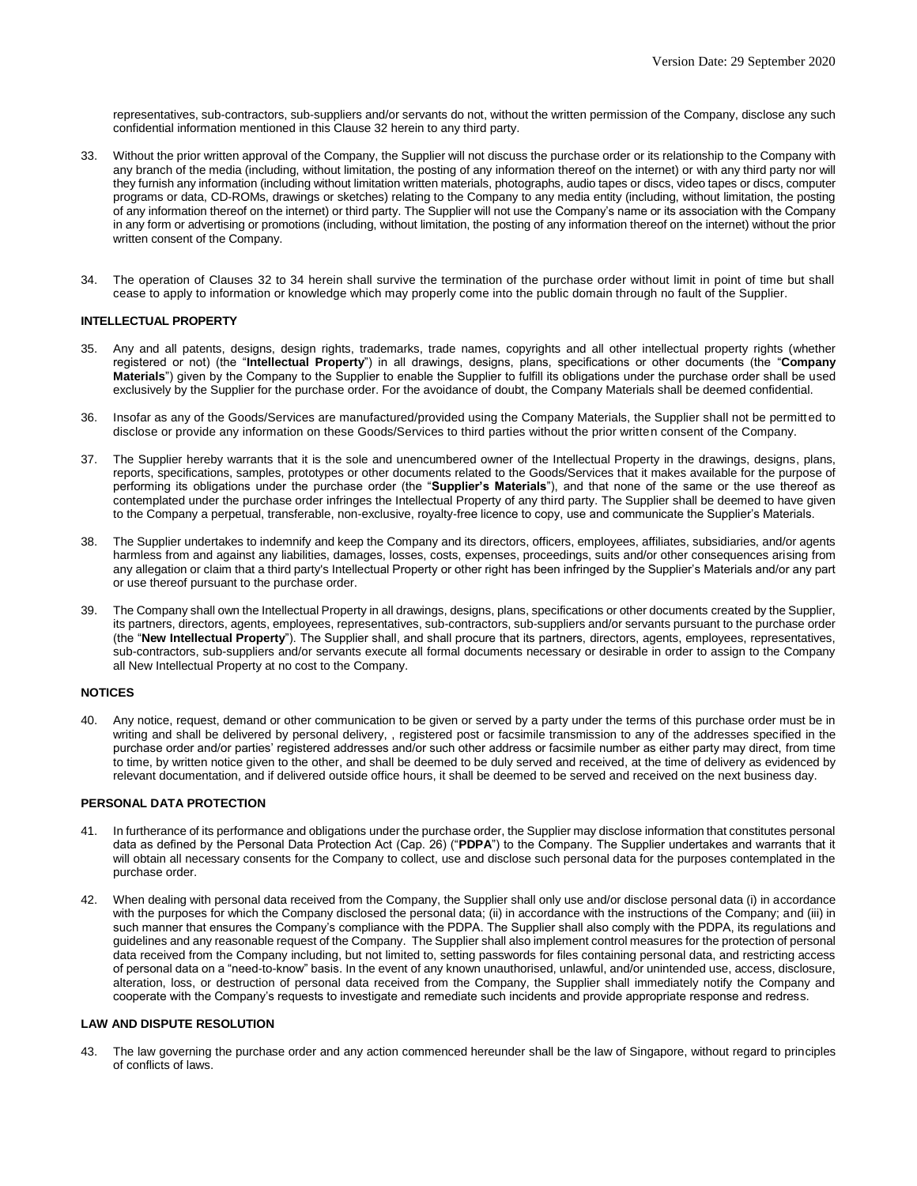representatives, sub-contractors, sub-suppliers and/or servants do not, without the written permission of the Company, disclose any such confidential information mentioned in this Clause 32 herein to any third party.

- 33. Without the prior written approval of the Company, the Supplier will not discuss the purchase order or its relationship to the Company with any branch of the media (including, without limitation, the posting of any information thereof on the internet) or with any third party nor will they furnish any information (including without limitation written materials, photographs, audio tapes or discs, video tapes or discs, computer programs or data, CD-ROMs, drawings or sketches) relating to the Company to any media entity (including, without limitation, the posting of any information thereof on the internet) or third party. The Supplier will not use the Company's name or its association with the Company in any form or advertising or promotions (including, without limitation, the posting of any information thereof on the internet) without the prior written consent of the Company.
- 34. The operation of Clauses 32 to 34 herein shall survive the termination of the purchase order without limit in point of time but shall cease to apply to information or knowledge which may properly come into the public domain through no fault of the Supplier.

# **INTELLECTUAL PROPERTY**

- 35. Any and all patents, designs, design rights, trademarks, trade names, copyrights and all other intellectual property rights (whether registered or not) (the "**Intellectual Property**") in all drawings, designs, plans, specifications or other documents (the "**Company Materials**") given by the Company to the Supplier to enable the Supplier to fulfill its obligations under the purchase order shall be used exclusively by the Supplier for the purchase order. For the avoidance of doubt, the Company Materials shall be deemed confidential.
- 36. Insofar as any of the Goods/Services are manufactured/provided using the Company Materials, the Supplier shall not be permitted to disclose or provide any information on these Goods/Services to third parties without the prior written consent of the Company.
- 37. The Supplier hereby warrants that it is the sole and unencumbered owner of the Intellectual Property in the drawings, designs, plans, reports, specifications, samples, prototypes or other documents related to the Goods/Services that it makes available for the purpose of performing its obligations under the purchase order (the "**Supplier's Materials**"), and that none of the same or the use thereof as contemplated under the purchase order infringes the Intellectual Property of any third party. The Supplier shall be deemed to have given to the Company a perpetual, transferable, non-exclusive, royalty-free licence to copy, use and communicate the Supplier's Materials.
- 38. The Supplier undertakes to indemnify and keep the Company and its directors, officers, employees, affiliates, subsidiaries, and/or agents harmless from and against any liabilities, damages, losses, costs, expenses, proceedings, suits and/or other consequences arising from any allegation or claim that a third party's Intellectual Property or other right has been infringed by the Supplier's Materials and/or any part or use thereof pursuant to the purchase order.
- 39. The Company shall own the Intellectual Property in all drawings, designs, plans, specifications or other documents created by the Supplier, its partners, directors, agents, employees, representatives, sub-contractors, sub-suppliers and/or servants pursuant to the purchase order (the "**New Intellectual Property**"). The Supplier shall, and shall procure that its partners, directors, agents, employees, representatives, sub-contractors, sub-suppliers and/or servants execute all formal documents necessary or desirable in order to assign to the Company all New Intellectual Property at no cost to the Company.

# **NOTICES**

40. Any notice, request, demand or other communication to be given or served by a party under the terms of this purchase order must be in writing and shall be delivered by personal delivery, , registered post or facsimile transmission to any of the addresses specified in the purchase order and/or parties' registered addresses and/or such other address or facsimile number as either party may direct, from time to time, by written notice given to the other, and shall be deemed to be duly served and received, at the time of delivery as evidenced by relevant documentation, and if delivered outside office hours, it shall be deemed to be served and received on the next business day.

# **PERSONAL DATA PROTECTION**

- 41. In furtherance of its performance and obligations under the purchase order, the Supplier may disclose information that constitutes personal data as defined by the Personal Data Protection Act (Cap. 26) ("**PDPA**") to the Company. The Supplier undertakes and warrants that it will obtain all necessary consents for the Company to collect, use and disclose such personal data for the purposes contemplated in the purchase order.
- 42. When dealing with personal data received from the Company, the Supplier shall only use and/or disclose personal data (i) in accordance with the purposes for which the Company disclosed the personal data; (ii) in accordance with the instructions of the Company; and (iii) in such manner that ensures the Company's compliance with the PDPA. The Supplier shall also comply with the PDPA, its regulations and guidelines and any reasonable request of the Company. The Supplier shall also implement control measures for the protection of personal data received from the Company including, but not limited to, setting passwords for files containing personal data, and restricting access of personal data on a "need-to-know" basis. In the event of any known unauthorised, unlawful, and/or unintended use, access, disclosure, alteration, loss, or destruction of personal data received from the Company, the Supplier shall immediately notify the Company and cooperate with the Company's requests to investigate and remediate such incidents and provide appropriate response and redress.

# **LAW AND DISPUTE RESOLUTION**

43. The law governing the purchase order and any action commenced hereunder shall be the law of Singapore, without regard to principles of conflicts of laws.